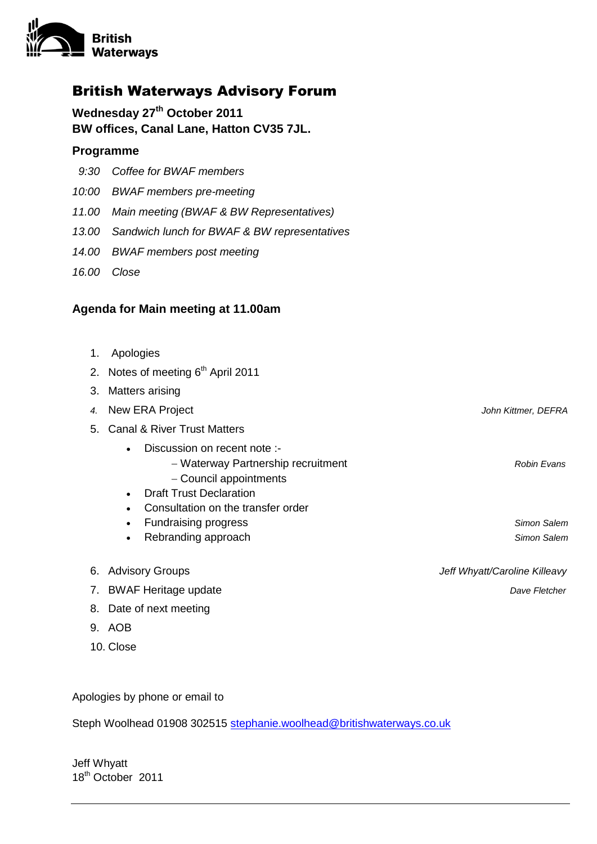

## British Waterways Advisory Forum

**Wednesday 27th October 2011 BW offices, Canal Lane, Hatton CV35 7JL.** 

## **Programme**

- *9:30 Coffee for BWAF members*
- *10:00 BWAF members pre-meeting*
- *11.00 Main meeting (BWAF & BW Representatives)*
- *13.00 Sandwich lunch for BWAF & BW representatives*
- *14.00 BWAF members post meeting*
- *16.00 Close*

## **Agenda for Main meeting at 11.00am**

- 1. Apologies
- 2. Notes of meeting  $6<sup>th</sup>$  April 2011
- 3. Matters arising
- *4.* New ERA Project *John Kittmer, DEFRA* 5. Canal & River Trust Matters Discussion on recent note :- Waterway Partnership recruitment *Robin Evans* - Council appointments • Draft Trust Declaration Consultation on the transfer order Fundraising progress *Simon Salem* Rebranding approach **Simon Salem Simon Salem Simon Salem Simon Salem** 6. Advisory Groups *Jeff Whyatt/Caroline Killeavy*
- 7. BWAF Heritage update *Dave Fletcher*
- 8. Date of next meeting
- 9. AOB
- 10. Close

Apologies by phone or email to

Steph Woolhead 01908 302515 [stephanie.woolhead@britishwaterways.co.uk](mailto:stephanie.woolhead@britishwaterways.co.uk)

Jeff Whyatt 18th October 2011